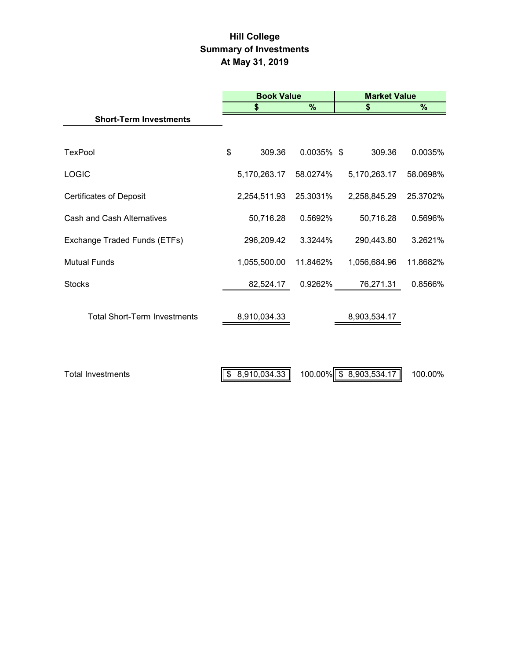# **Hill College Summary of Investments At May 31, 2019**

|                                     | <b>Book Value</b>           |               | <b>Market Value</b>    |          |  |  |
|-------------------------------------|-----------------------------|---------------|------------------------|----------|--|--|
|                                     | %<br>\$                     |               | \$                     | $\%$     |  |  |
| <b>Short-Term Investments</b>       |                             |               |                        |          |  |  |
| <b>TexPool</b>                      | \$<br>309.36                | $0.0035\%$ \$ | 309.36                 | 0.0035%  |  |  |
| <b>LOGIC</b>                        | 5,170,263.17                | 58.0274%      | 5,170,263.17           | 58.0698% |  |  |
| <b>Certificates of Deposit</b>      | 2,254,511.93                | 25.3031%      | 2,258,845.29           | 25.3702% |  |  |
| <b>Cash and Cash Alternatives</b>   | 50,716.28                   | 0.5692%       | 50,716.28              | 0.5696%  |  |  |
| Exchange Traded Funds (ETFs)        | 296,209.42                  | 3.3244%       | 290,443.80             | 3.2621%  |  |  |
| <b>Mutual Funds</b>                 | 1,055,500.00                | 11.8462%      | 1,056,684.96           | 11.8682% |  |  |
| <b>Stocks</b>                       | 82,524.17                   | 0.9262%       | 76,271.31              | 0.8566%  |  |  |
| <b>Total Short-Term Investments</b> | 8,910,034.33                |               | 8,903,534.17           |          |  |  |
| <b>Total Investments</b>            | $\parallel$ \$ 8,910,034.33 |               | 100.00% \$8,903,534.17 | 100.00%  |  |  |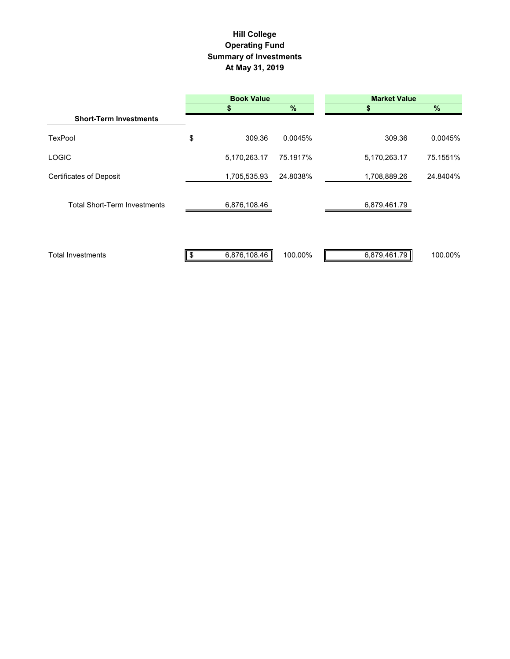## **Hill College Operating Fund Summary of Investments At May 31, 2019**

|                                     | <b>Book Value</b> |               | <b>Market Value</b> |          |  |
|-------------------------------------|-------------------|---------------|---------------------|----------|--|
|                                     |                   | $\frac{9}{6}$ | 55                  | %        |  |
| <b>Short-Term Investments</b>       |                   |               |                     |          |  |
| <b>TexPool</b>                      | \$<br>309.36      | 0.0045%       | 309.36              | 0.0045%  |  |
| <b>LOGIC</b>                        | 5,170,263.17      | 75.1917%      | 5,170,263.17        | 75.1551% |  |
| <b>Certificates of Deposit</b>      | 1,705,535.93      | 24.8038%      | 1,708,889.26        | 24.8404% |  |
| <b>Total Short-Term Investments</b> | 6,876,108.46      |               | 6,879,461.79        |          |  |
| <b>Total Investments</b>            | 6,876,108.46      | 100.00%       | 6,879,461.79        | 100.00%  |  |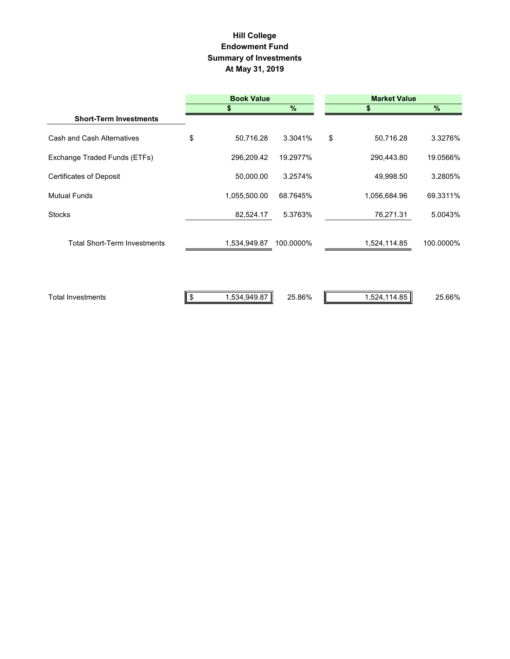#### **Summary of Investments At May 31, 2019 Hill College Endowment Fund**

|                                     |               | <b>Book Value</b> |           |    | <b>Market Value</b> |           |  |  |
|-------------------------------------|---------------|-------------------|-----------|----|---------------------|-----------|--|--|
|                                     |               |                   | %         |    |                     | $\%$      |  |  |
| <b>Short-Term Investments</b>       |               |                   |           |    |                     |           |  |  |
| Cash and Cash Alternatives          | \$            | 50,716.28         | 3.3041%   | \$ | 50,716.28           | 3.3276%   |  |  |
| Exchange Traded Funds (ETFs)        |               | 296,209.42        | 19.2977%  |    | 290,443.80          | 19.0566%  |  |  |
| <b>Certificates of Deposit</b>      |               | 50,000.00         | 3.2574%   |    | 49,998.50           | 3.2805%   |  |  |
| <b>Mutual Funds</b>                 |               | 1,055,500.00      | 68.7645%  |    | 1,056,684.96        | 69.3311%  |  |  |
| <b>Stocks</b>                       |               | 82,524.17         | 5.3763%   |    | 76,271.31           | 5.0043%   |  |  |
| <b>Total Short-Term Investments</b> |               | 1,534,949.87      | 100.0000% |    | 1,524,114.85        | 100.0000% |  |  |
| <b>Total Investments</b>            | $\sqrt[6]{2}$ | 1,534,949.87      | 25.86%    |    | 1,524,114.85        | 25.66%    |  |  |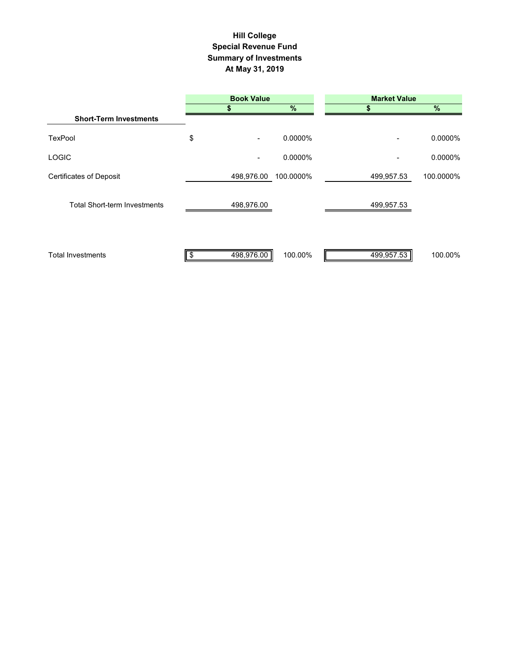### **Summary of Investments At May 31, 2019 Special Revenue Fund Hill College**

|                                     | <b>Book Value</b>    |                 | <b>Market Value</b> |            |  |
|-------------------------------------|----------------------|-----------------|---------------------|------------|--|
|                                     |                      | $\overline{\%}$ |                     | $\sqrt{2}$ |  |
| <b>Short-Term Investments</b>       |                      |                 |                     |            |  |
| <b>TexPool</b>                      | \$<br>$\blacksquare$ | 0.0000%         | -                   | 0.0000%    |  |
| <b>LOGIC</b>                        | $\blacksquare$       | 0.0000%         |                     | 0.0000%    |  |
| <b>Certificates of Deposit</b>      | 498,976.00           | 100.0000%       | 499,957.53          | 100.0000%  |  |
| <b>Total Short-term Investments</b> | 498,976.00           |                 | 499,957.53          |            |  |
| <b>Total Investments</b>            | 498,976.00           | 100.00%         | 499,957.53          | 100.00%    |  |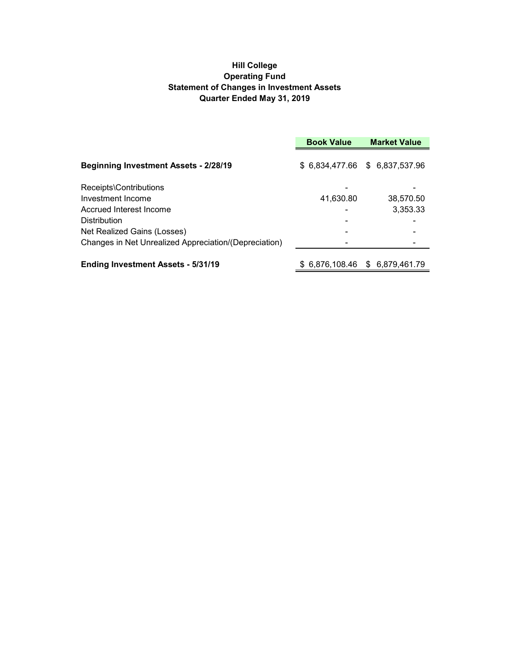### **Hill College Operating Fund Statement of Changes in Investment Assets Quarter Ended May 31, 2019**

|                                                       | <b>Book Value</b><br><b>Market Value</b> |                                 |  |
|-------------------------------------------------------|------------------------------------------|---------------------------------|--|
| <b>Beginning Investment Assets - 2/28/19</b>          |                                          | \$ 6,834,477.66 \$ 6,837,537.96 |  |
| Receipts\Contributions                                |                                          |                                 |  |
| Investment Income                                     | 41,630.80                                | 38.570.50                       |  |
| Accrued Interest Income                               |                                          | 3,353.33                        |  |
| <b>Distribution</b>                                   |                                          |                                 |  |
| Net Realized Gains (Losses)                           |                                          |                                 |  |
| Changes in Net Unrealized Appreciation/(Depreciation) |                                          |                                 |  |
| <b>Ending Investment Assets - 5/31/19</b>             |                                          | \$ 6.876.108.46 \$ 6.879.461.79 |  |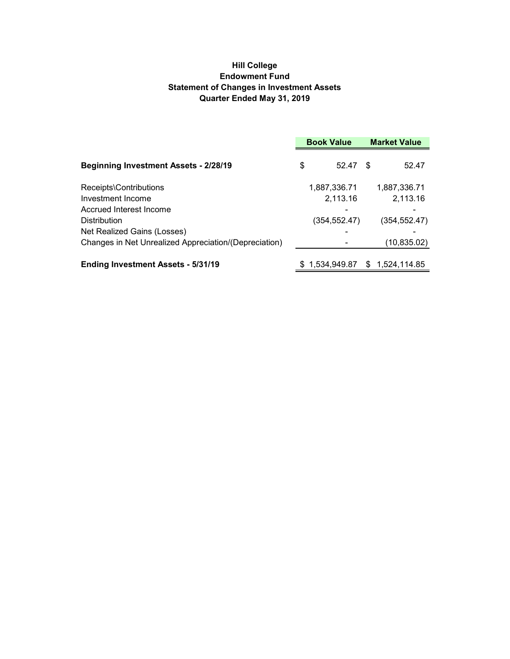### **Hill College Endowment Fund Statement of Changes in Investment Assets Quarter Ended May 31, 2019**

|                                                       | <b>Book Value</b> |                | <b>Market Value</b> |              |
|-------------------------------------------------------|-------------------|----------------|---------------------|--------------|
| <b>Beginning Investment Assets - 2/28/19</b>          | \$                | 52.47          | - \$                | 52.47        |
| Receipts\Contributions                                |                   | 1,887,336.71   |                     | 1,887,336.71 |
| Investment Income                                     |                   | 2,113.16       |                     | 2,113.16     |
| Accrued Interest Income                               |                   |                |                     |              |
| <b>Distribution</b>                                   |                   | (354,552.47)   |                     | (354,552.47) |
| Net Realized Gains (Losses)                           |                   |                |                     |              |
| Changes in Net Unrealized Appreciation/(Depreciation) |                   |                |                     | (10,835.02)  |
| <b>Ending Investment Assets - 5/31/19</b>             |                   | \$1.534.949.87 | \$.                 | 1,524,114.85 |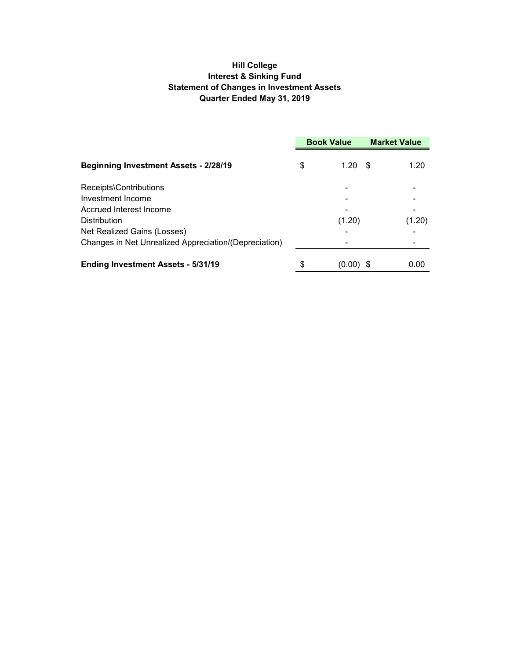### **Hill College Interest & Sinking Fund Statement of Changes in Investment Assets Quarter Ended May 31, 2019**

|                                                       | <b>Book Value</b> |             | <b>Market Value</b> |        |
|-------------------------------------------------------|-------------------|-------------|---------------------|--------|
| <b>Beginning Investment Assets - 2/28/19</b>          | \$                | 1.20        | - \$                | 1.20   |
| Receipts\Contributions                                |                   |             |                     |        |
| Investment Income                                     |                   |             |                     |        |
| Accrued Interest Income                               |                   |             |                     |        |
| <b>Distribution</b>                                   |                   | (1.20)      |                     | (1.20) |
| Net Realized Gains (Losses)                           |                   |             |                     |        |
| Changes in Net Unrealized Appreciation/(Depreciation) |                   |             |                     |        |
| <b>Ending Investment Assets - 5/31/19</b>             |                   | $(0.00)$ \$ |                     | 0.00   |